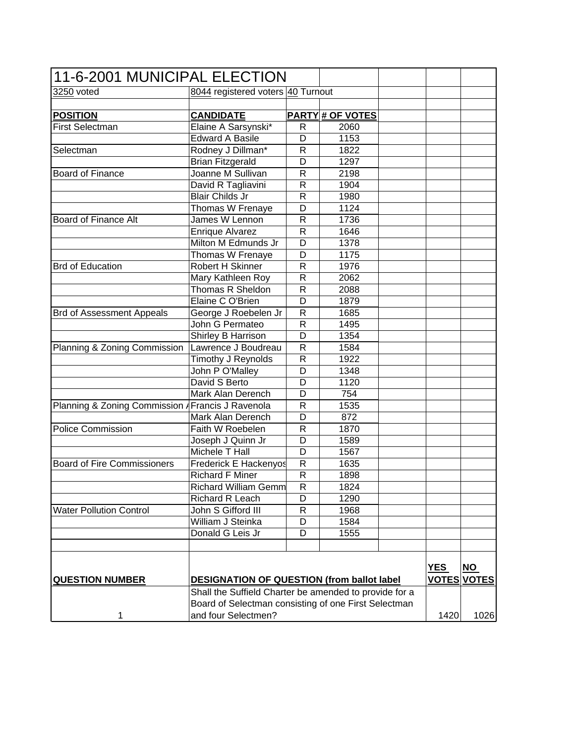| 11-6-2001 MUNICIPAL ELECTION                           |                                                      |                |                         |  |            |                    |
|--------------------------------------------------------|------------------------------------------------------|----------------|-------------------------|--|------------|--------------------|
| 3250 voted                                             | 8044 registered voters 40 Turnout                    |                |                         |  |            |                    |
|                                                        |                                                      |                |                         |  |            |                    |
| <b>POSITION</b>                                        | <b>CANDIDATE</b>                                     |                | <b>PARTY # OF VOTES</b> |  |            |                    |
| <b>First Selectman</b>                                 | Elaine A Sarsynski*                                  | R              | 2060                    |  |            |                    |
|                                                        | <b>Edward A Basile</b>                               | D              | 1153                    |  |            |                    |
| Selectman                                              | Rodney J Dillman*                                    | $\mathsf{R}$   | 1822                    |  |            |                    |
|                                                        | <b>Brian Fitzgerald</b>                              | D              | 1297                    |  |            |                    |
| <b>Board of Finance</b>                                | Joanne M Sullivan                                    | $\mathsf{R}$   | 2198                    |  |            |                    |
|                                                        | David R Tagliavini                                   | $\mathsf{R}$   | 1904                    |  |            |                    |
|                                                        | <b>Blair Childs Jr</b>                               | $\mathsf{R}$   | 1980                    |  |            |                    |
|                                                        | Thomas W Frenaye                                     | D              | 1124                    |  |            |                    |
| <b>Board of Finance Alt</b>                            | James W Lennon                                       | $\mathsf{R}$   | 1736                    |  |            |                    |
|                                                        | <b>Enrique Alvarez</b>                               | $\mathsf{R}$   | 1646                    |  |            |                    |
|                                                        | Milton M Edmunds Jr                                  | D              | 1378                    |  |            |                    |
|                                                        |                                                      | D              | 1175                    |  |            |                    |
|                                                        | Thomas W Frenaye                                     |                |                         |  |            |                    |
| <b>Brd of Education</b>                                | Robert H Skinner                                     | $\mathsf{R}$   | 1976                    |  |            |                    |
|                                                        | Mary Kathleen Roy                                    | $\mathsf{R}$   | 2062                    |  |            |                    |
|                                                        | Thomas R Sheldon                                     | R              | 2088                    |  |            |                    |
|                                                        | Elaine C O'Brien                                     | D              | 1879                    |  |            |                    |
| <b>Brd of Assessment Appeals</b>                       | George J Roebelen Jr                                 | ${\sf R}$      | 1685                    |  |            |                    |
|                                                        | John G Permateo                                      | R              | 1495                    |  |            |                    |
|                                                        | Shirley B Harrison                                   | D              | 1354                    |  |            |                    |
| Planning & Zoning Commission                           | Lawrence J Boudreau                                  | R              | 1584                    |  |            |                    |
|                                                        | Timothy J Reynolds                                   | R              | 1922                    |  |            |                    |
|                                                        | John P O'Malley                                      | D              | 1348                    |  |            |                    |
|                                                        | David S Berto                                        | D              | 1120                    |  |            |                    |
|                                                        | Mark Alan Derench                                    | D              | 754                     |  |            |                    |
| Planning & Zoning Commission / Francis J Ravenola      |                                                      | R              | 1535                    |  |            |                    |
|                                                        | Mark Alan Derench                                    | D              | 872                     |  |            |                    |
| <b>Police Commission</b>                               | Faith W Roebelen                                     | R              | 1870                    |  |            |                    |
|                                                        | Joseph J Quinn Jr                                    | D              | 1589                    |  |            |                    |
|                                                        | Michele T Hall                                       | D              | 1567                    |  |            |                    |
| <b>Board of Fire Commissioners</b>                     | <b>Frederick E Hackenyos</b>                         | $\overline{R}$ | 1635                    |  |            |                    |
|                                                        | <b>Richard F Miner</b>                               | R              | 1898                    |  |            |                    |
|                                                        | <b>Richard William Gemm</b>                          | $\overline{R}$ | 1824                    |  |            |                    |
|                                                        |                                                      |                |                         |  |            |                    |
|                                                        | Richard R Leach                                      | D              | 1290                    |  |            |                    |
| <b>Water Pollution Control</b>                         | John S Gifford III                                   | R              | 1968                    |  |            |                    |
|                                                        | William J Steinka                                    | D              | 1584                    |  |            |                    |
|                                                        | Donald G Leis Jr                                     | D              | 1555                    |  |            |                    |
|                                                        |                                                      |                |                         |  |            |                    |
|                                                        |                                                      |                |                         |  | <b>YES</b> | $NO$               |
| <b>QUESTION NUMBER</b>                                 | <b>DESIGNATION OF QUESTION (from ballot label)</b>   |                |                         |  |            | <b>VOTES VOTES</b> |
| Shall the Suffield Charter be amended to provide for a |                                                      |                |                         |  |            |                    |
|                                                        | Board of Selectman consisting of one First Selectman |                |                         |  |            |                    |
|                                                        |                                                      |                |                         |  |            | 1026               |
| 1                                                      | and four Selectmen?                                  |                |                         |  | 1420       |                    |